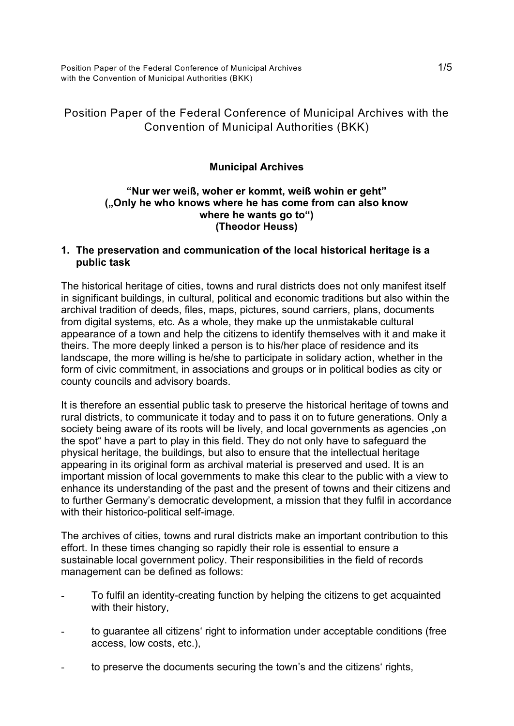# Position Paper of the Federal Conference of Municipal Archives with the Convention of Municipal Authorities (BKK)

# **Municipal Archives**

### **"Nur wer weiß, woher er kommt, weiß wohin er geht" ("Only he who knows where he has come from can also know where he wants go to") (Theodor Heuss)**

### **1. The preservation and communication of the local historical heritage is a public task**

The historical heritage of cities, towns and rural districts does not only manifest itself in significant buildings, in cultural, political and economic traditions but also within the archival tradition of deeds, files, maps, pictures, sound carriers, plans, documents from digital systems, etc. As a whole, they make up the unmistakable cultural appearance of a town and help the citizens to identify themselves with it and make it theirs. The more deeply linked a person is to his/her place of residence and its landscape, the more willing is he/she to participate in solidary action, whether in the form of civic commitment, in associations and groups or in political bodies as city or county councils and advisory boards.

It is therefore an essential public task to preserve the historical heritage of towns and rural districts, to communicate it today and to pass it on to future generations. Only a society being aware of its roots will be lively, and local governments as agencies "on the spot" have a part to play in this field. They do not only have to safeguard the physical heritage, the buildings, but also to ensure that the intellectual heritage appearing in its original form as archival material is preserved and used. It is an important mission of local governments to make this clear to the public with a view to enhance its understanding of the past and the present of towns and their citizens and to further Germany's democratic development, a mission that they fulfil in accordance with their historico-political self-image.

The archives of cities, towns and rural districts make an important contribution to this effort. In these times changing so rapidly their role is essential to ensure a sustainable local government policy. Their responsibilities in the field of records management can be defined as follows:

- To fulfil an identity-creating function by helping the citizens to get acquainted with their history,
- to guarantee all citizens' right to information under acceptable conditions (free access, low costs, etc.),
- to preserve the documents securing the town's and the citizens' rights,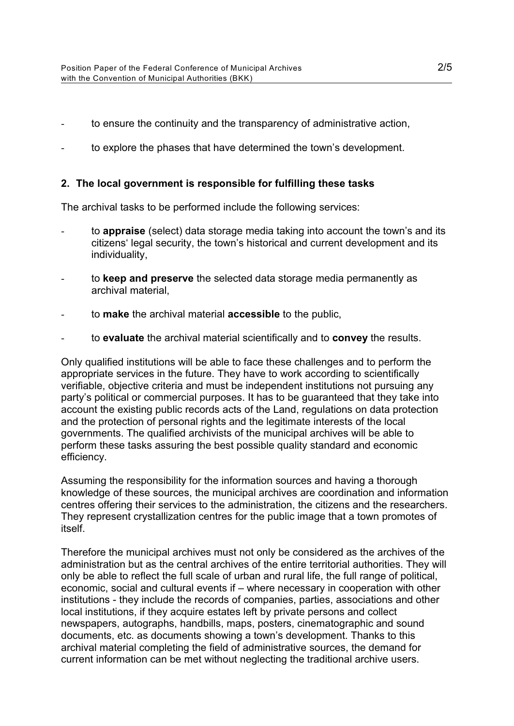- to ensure the continuity and the transparency of administrative action,
- to explore the phases that have determined the town's development.

### **2. The local government is responsible for fulfilling these tasks**

The archival tasks to be performed include the following services:

- to **appraise** (select) data storage media taking into account the town's and its citizens' legal security, the town's historical and current development and its individuality,
- to **keep and preserve** the selected data storage media permanently as archival material,
- to **make** the archival material **accessible** to the public,
- to **evaluate** the archival material scientifically and to **convey** the results.

Only qualified institutions will be able to face these challenges and to perform the appropriate services in the future. They have to work according to scientifically verifiable, objective criteria and must be independent institutions not pursuing any party's political or commercial purposes. It has to be guaranteed that they take into account the existing public records acts of the Land, regulations on data protection and the protection of personal rights and the legitimate interests of the local governments. The qualified archivists of the municipal archives will be able to perform these tasks assuring the best possible quality standard and economic efficiency.

Assuming the responsibility for the information sources and having a thorough knowledge of these sources, the municipal archives are coordination and information centres offering their services to the administration, the citizens and the researchers. They represent crystallization centres for the public image that a town promotes of itself.

Therefore the municipal archives must not only be considered as the archives of the administration but as the central archives of the entire territorial authorities. They will only be able to reflect the full scale of urban and rural life, the full range of political, economic, social and cultural events if – where necessary in cooperation with other institutions - they include the records of companies, parties, associations and other local institutions, if they acquire estates left by private persons and collect newspapers, autographs, handbills, maps, posters, cinematographic and sound documents, etc. as documents showing a town's development. Thanks to this archival material completing the field of administrative sources, the demand for current information can be met without neglecting the traditional archive users.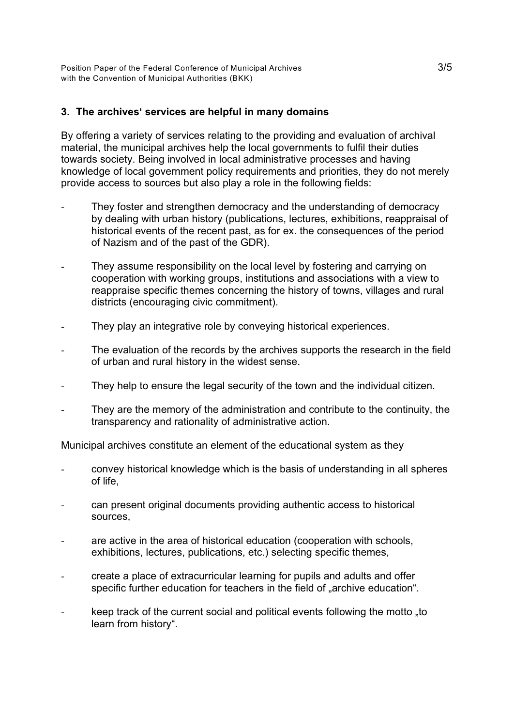### **3. The archives' services are helpful in many domains**

By offering a variety of services relating to the providing and evaluation of archival material, the municipal archives help the local governments to fulfil their duties towards society. Being involved in local administrative processes and having knowledge of local government policy requirements and priorities, they do not merely provide access to sources but also play a role in the following fields:

- They foster and strengthen democracy and the understanding of democracy by dealing with urban history (publications, lectures, exhibitions, reappraisal of historical events of the recent past, as for ex. the consequences of the period of Nazism and of the past of the GDR).
- They assume responsibility on the local level by fostering and carrying on cooperation with working groups, institutions and associations with a view to reappraise specific themes concerning the history of towns, villages and rural districts (encouraging civic commitment).
- They play an integrative role by conveying historical experiences.
- The evaluation of the records by the archives supports the research in the field of urban and rural history in the widest sense.
- They help to ensure the legal security of the town and the individual citizen.
- They are the memory of the administration and contribute to the continuity, the transparency and rationality of administrative action.

Municipal archives constitute an element of the educational system as they

- convey historical knowledge which is the basis of understanding in all spheres of life,
- can present original documents providing authentic access to historical sources,
- are active in the area of historical education (cooperation with schools, exhibitions, lectures, publications, etc.) selecting specific themes,
- create a place of extracurricular learning for pupils and adults and offer specific further education for teachers in the field of "archive education".
- keep track of the current social and political events following the motto "to" learn from history".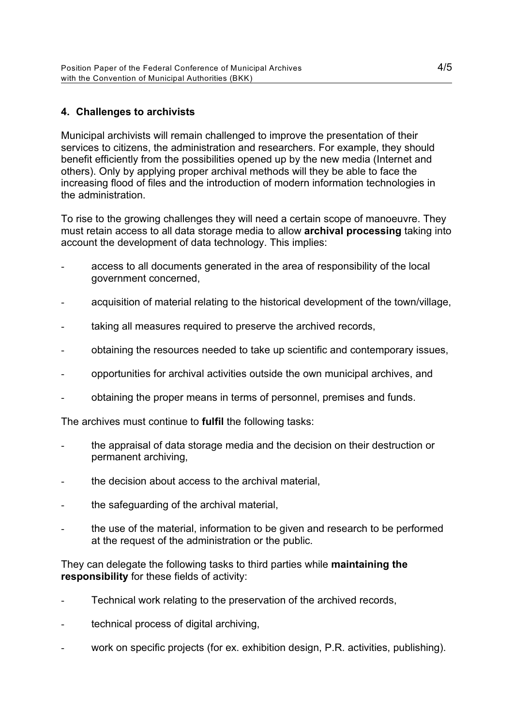## **4. Challenges to archivists**

Municipal archivists will remain challenged to improve the presentation of their services to citizens, the administration and researchers. For example, they should benefit efficiently from the possibilities opened up by the new media (Internet and others). Only by applying proper archival methods will they be able to face the increasing flood of files and the introduction of modern information technologies in the administration.

To rise to the growing challenges they will need a certain scope of manoeuvre. They must retain access to all data storage media to allow **archival processing** taking into account the development of data technology. This implies:

- access to all documents generated in the area of responsibility of the local government concerned,
- acquisition of material relating to the historical development of the town/village,
- taking all measures required to preserve the archived records,
- obtaining the resources needed to take up scientific and contemporary issues,
- opportunities for archival activities outside the own municipal archives, and
- obtaining the proper means in terms of personnel, premises and funds.

The archives must continue to **fulfil** the following tasks:

- the appraisal of data storage media and the decision on their destruction or permanent archiving,
- the decision about access to the archival material,
- the safeguarding of the archival material,
- the use of the material, information to be given and research to be performed at the request of the administration or the public.

They can delegate the following tasks to third parties while **maintaining the responsibility** for these fields of activity:

- Technical work relating to the preservation of the archived records,
- technical process of digital archiving,
- work on specific projects (for ex. exhibition design, P.R. activities, publishing).